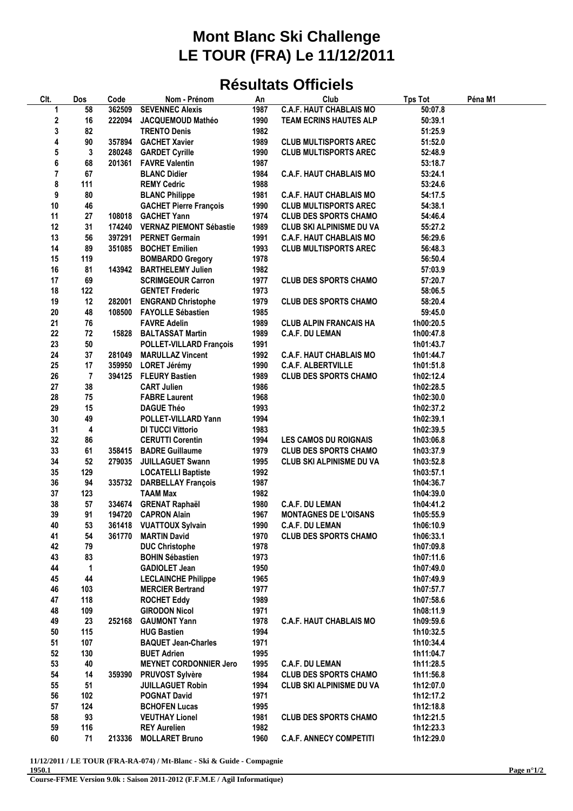## **Mont Blanc Ski Challenge LE TOUR (FRA) Le 11/12/2011**

## **Résultats Officiels**

| Clt.                    | Dos      | Code             | Nom - Prénom                                           | An   | Club                                                   | <b>Tps Tot</b>         | Péna M1 |
|-------------------------|----------|------------------|--------------------------------------------------------|------|--------------------------------------------------------|------------------------|---------|
| 1                       | 58       | 362509           | <b>SEVENNEC Alexis</b>                                 | 1987 | <b>C.A.F. HAUT CHABLAIS MO</b>                         | 50:07.8                |         |
| 2                       | 16       | 222094           | JACQUEMOUD Mathéo                                      | 1990 | <b>TEAM ECRINS HAUTES ALP</b>                          | 50:39.1                |         |
| 3                       | 82       |                  | <b>TRENTO Denis</b>                                    | 1982 |                                                        | 51:25.9                |         |
| 4                       | 90       | 357894           | <b>GACHET Xavier</b>                                   | 1989 | <b>CLUB MULTISPORTS AREC</b>                           | 51:52.0                |         |
| 5                       | 3        | 280248           | <b>GARDET Cyrille</b>                                  | 1990 | <b>CLUB MULTISPORTS AREC</b>                           | 52:48.9                |         |
| 6                       | 68       | 201361           | <b>FAVRE Valentin</b>                                  | 1987 |                                                        | 53:18.7                |         |
| $\overline{\mathbf{r}}$ | 67       |                  | <b>BLANC Didier</b>                                    | 1984 | <b>C.A.F. HAUT CHABLAIS MO</b>                         | 53:24.1                |         |
| 8                       | 111      |                  |                                                        | 1988 |                                                        | 53:24.6                |         |
| 9                       |          |                  | <b>REMY Cedric</b>                                     | 1981 |                                                        |                        |         |
|                         | 80       |                  | <b>BLANC Philippe</b><br><b>GACHET Pierre François</b> |      | <b>C.A.F. HAUT CHABLAIS MO</b>                         | 54:17.5<br>54:38.1     |         |
| 10                      | 46       |                  |                                                        | 1990 | <b>CLUB MULTISPORTS AREC</b>                           |                        |         |
| 11                      | 27       | 108018           | <b>GACHET Yann</b>                                     | 1974 | <b>CLUB DES SPORTS CHAMO</b>                           | 54:46.4                |         |
| 12                      | 31       | 174240           | <b>VERNAZ PIEMONT Sébastie</b>                         | 1989 | <b>CLUB SKI ALPINISME DU VA</b>                        | 55:27.2                |         |
| 13                      | 56       | 397291           | <b>PERNET Germain</b>                                  | 1991 | <b>C.A.F. HAUT CHABLAIS MO</b>                         | 56:29.6                |         |
| 14                      | 89       | 351085           | <b>BOCHET Emilien</b>                                  | 1993 | <b>CLUB MULTISPORTS AREC</b>                           | 56:48.3                |         |
| 15                      | 119      |                  | <b>BOMBARDO Gregory</b>                                | 1978 |                                                        | 56:50.4                |         |
| 16                      | 81       |                  | 143942 BARTHELEMY Julien                               | 1982 |                                                        | 57:03.9                |         |
| 17                      | 69       |                  | <b>SCRIMGEOUR Carron</b>                               | 1977 | <b>CLUB DES SPORTS CHAMO</b>                           | 57:20.7                |         |
| 18                      | 122      |                  | <b>GENTET Frederic</b>                                 | 1973 |                                                        | 58:06.5                |         |
| 19                      | 12       | 282001           | <b>ENGRAND Christophe</b>                              | 1979 | <b>CLUB DES SPORTS CHAMO</b>                           | 58:20.4                |         |
| 20                      | 48       | 108500           | <b>FAYOLLE Sébastien</b>                               | 1985 |                                                        | 59:45.0                |         |
| 21                      | 76       |                  | <b>FAVRE Adelin</b>                                    | 1989 | <b>CLUB ALPIN FRANCAIS HA</b>                          | 1h00:20.5              |         |
| 22                      | 72       | 15828            | <b>BALTASSAT Martin</b>                                | 1989 | <b>C.A.F. DU LEMAN</b>                                 | 1h00:47.8              |         |
| 23                      | 50       |                  | POLLET-VILLARD François                                | 1991 |                                                        | 1h01:43.7              |         |
| 24                      | 37       | 281049           | <b>MARULLAZ Vincent</b>                                | 1992 | <b>C.A.F. HAUT CHABLAIS MO</b>                         | 1h01:44.7              |         |
| 25                      | 17       | 359950           | <b>LORET Jérémy</b>                                    | 1990 | <b>C.A.F. ALBERTVILLE</b>                              | 1h01:51.8              |         |
| 26                      | 7        | 394125           | <b>FLEURY Bastien</b>                                  | 1989 | <b>CLUB DES SPORTS CHAMO</b>                           | 1h02:12.4              |         |
| 27                      | 38       |                  | <b>CART Julien</b>                                     | 1986 |                                                        | 1h02:28.5              |         |
| 28                      | 75       |                  | <b>FABRE Laurent</b>                                   | 1968 |                                                        | 1h02:30.0              |         |
| 29                      | 15       |                  | <b>DAGUE Théo</b>                                      | 1993 |                                                        | 1h02:37.2              |         |
| 30                      | 49       |                  | POLLET-VILLARD Yann                                    | 1994 |                                                        | 1h02:39.1              |         |
| 31                      | 4        |                  | <b>DI TUCCI Vittorio</b>                               | 1983 |                                                        | 1h02:39.5              |         |
| 32                      | 86       |                  | <b>CERUTTI Corentin</b>                                | 1994 | <b>LES CAMOS DU ROIGNAIS</b>                           | 1h03:06.8              |         |
| 33                      | 61       | 358415           | <b>BADRE Guillaume</b>                                 | 1979 | <b>CLUB DES SPORTS CHAMO</b>                           | 1h03:37.9              |         |
| 34                      | 52       | 279035           | <b>JUILLAGUET Swann</b>                                | 1995 | <b>CLUB SKI ALPINISME DU VA</b>                        | 1h03:52.8              |         |
| 35                      | 129      |                  | <b>LOCATELLI Baptiste</b>                              | 1992 |                                                        | 1h03:57.1              |         |
| 36                      | 94       |                  | 335732 DARBELLAY François                              | 1987 |                                                        | 1h04:36.7              |         |
| 37                      | 123      |                  | <b>TAAM Max</b>                                        | 1982 |                                                        | 1h04:39.0              |         |
| 38                      | 57       | 334674           | <b>GRENAT Raphaël</b>                                  | 1980 | <b>C.A.F. DU LEMAN</b>                                 | 1h04:41.2              |         |
| 39                      | 91       |                  | 194720 CAPRON Alain                                    | 1967 | <b>MONTAGNES DE L'OISANS</b>                           | 1h05:55.9              |         |
|                         |          |                  |                                                        | 1990 |                                                        |                        |         |
| 40<br>41                | 53<br>54 | 361418<br>361770 | <b>VUATTOUX Sylvain</b><br><b>MARTIN David</b>         | 1970 | <b>C.A.F. DU LEMAN</b><br><b>CLUB DES SPORTS CHAMO</b> | 1h06:10.9<br>1h06:33.1 |         |
|                         |          |                  |                                                        |      |                                                        |                        |         |
| 42                      | 79       |                  | <b>DUC Christophe</b>                                  | 1978 |                                                        | 1h07:09.8<br>1h07:11.6 |         |
| 43                      | 83       |                  | <b>BOHIN Sébastien</b>                                 | 1973 |                                                        |                        |         |
| 44                      | 1        |                  | <b>GADIOLET Jean</b>                                   | 1950 |                                                        | 1h07:49.0              |         |
| 45                      | 44       |                  | <b>LECLAINCHE Philippe</b>                             | 1965 |                                                        | 1h07:49.9              |         |
| 46                      | 103      |                  | <b>MERCIER Bertrand</b>                                | 1977 |                                                        | 1h07:57.7              |         |
| 47                      | 118      |                  | <b>ROCHET Eddy</b>                                     | 1989 |                                                        | 1h07:58.6              |         |
| 48                      | 109      |                  | <b>GIRODON Nicol</b>                                   | 1971 |                                                        | 1h08:11.9              |         |
| 49                      | 23       | 252168           | <b>GAUMONT Yann</b>                                    | 1978 | <b>C.A.F. HAUT CHABLAIS MO</b>                         | 1h09:59.6              |         |
| 50                      | 115      |                  | <b>HUG Bastien</b>                                     | 1994 |                                                        | 1h10:32.5              |         |
| 51                      | 107      |                  | <b>BAQUET Jean-Charles</b>                             | 1971 |                                                        | 1h10:34.4              |         |
| 52                      | 130      |                  | <b>BUET Adrien</b>                                     | 1995 |                                                        | 1h11:04.7              |         |
| 53                      | 40       |                  | <b>MEYNET CORDONNIER Jero</b>                          | 1995 | <b>C.A.F. DU LEMAN</b>                                 | 1h11:28.5              |         |
| 54                      | 14       | 359390           | <b>PRUVOST Sylvère</b>                                 | 1984 | <b>CLUB DES SPORTS CHAMO</b>                           | 1h11:56.8              |         |
| 55                      | 51       |                  | <b>JUILLAGUET Robin</b>                                | 1994 | <b>CLUB SKI ALPINISME DU VA</b>                        | 1h12:07.0              |         |
| 56                      | 102      |                  | <b>POGNAT David</b>                                    | 1971 |                                                        | 1h12:17.2              |         |
| 57                      | 124      |                  | <b>BCHOFEN Lucas</b>                                   | 1995 |                                                        | 1h12:18.8              |         |
| 58                      | 93       |                  | <b>VEUTHAY Lionel</b>                                  | 1981 | <b>CLUB DES SPORTS CHAMO</b>                           | 1h12:21.5              |         |
| 59                      | 116      |                  | <b>REY Aurelien</b>                                    | 1982 |                                                        | 1h12:23.3              |         |
| 60                      | 71       | 213336           | <b>MOLLARET Bruno</b>                                  | 1960 | <b>C.A.F. ANNECY COMPETITI</b>                         | 1h12:29.0              |         |

**11/12/2011 / LE TOUR (FRA-RA-074) / Mt-Blanc - Ski & Guide - Compagnie**

**<sup>1950.1</sup>**